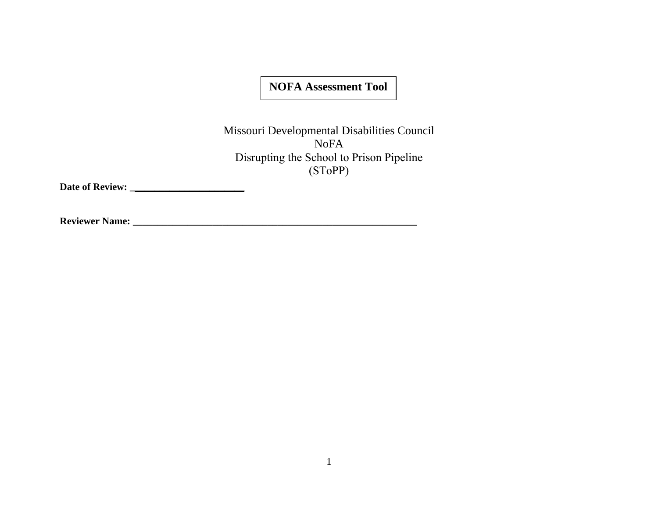## **NOFA Assessment Tool**

Missouri Developmental Disabilities Council NoFA Disrupting the School to Prison Pipeline (SToPP)

**Date of Review: \_\_\_\_\_\_\_\_\_\_\_\_\_\_\_\_\_\_\_\_\_\_\_**

**Reviewer Name: \_\_\_\_\_\_\_\_\_\_\_\_\_\_\_\_\_\_\_\_\_\_\_\_\_\_\_\_\_\_\_\_\_\_\_\_\_\_\_\_\_\_\_\_\_\_\_\_\_\_\_\_\_\_\_\_\_**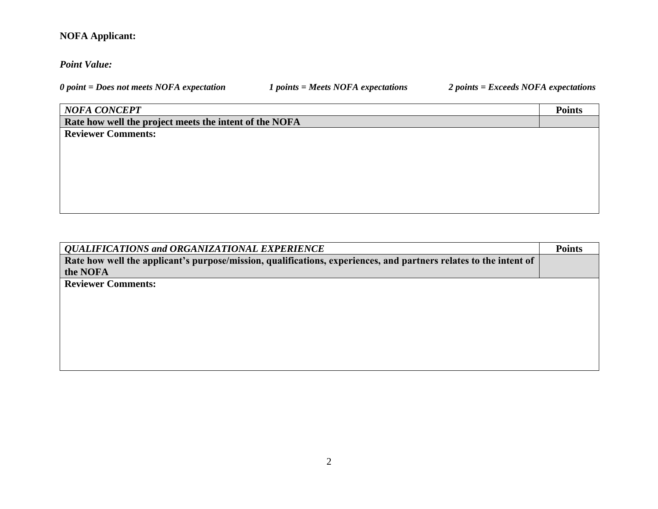## **NOFA Applicant:**

## *Point Value:*

*0 point = Does not meets NOFA expectation 1 points = Meets NOFA expectations 2 points = Exceeds NOFA expectations*

## *NOFA CONCEPT* **Points**

**Rate how well the project meets the intent of the NOFA** 

**Reviewer Comments:**

| <b>QUALIFICATIONS and ORGANIZATIONAL EXPERIENCE</b>                                                               | <b>Points</b> |
|-------------------------------------------------------------------------------------------------------------------|---------------|
| Rate how well the applicant's purpose/mission, qualifications, experiences, and partners relates to the intent of |               |
| the NOFA                                                                                                          |               |
| <b>Reviewer Comments:</b>                                                                                         |               |
|                                                                                                                   |               |
|                                                                                                                   |               |
|                                                                                                                   |               |
|                                                                                                                   |               |
|                                                                                                                   |               |
|                                                                                                                   |               |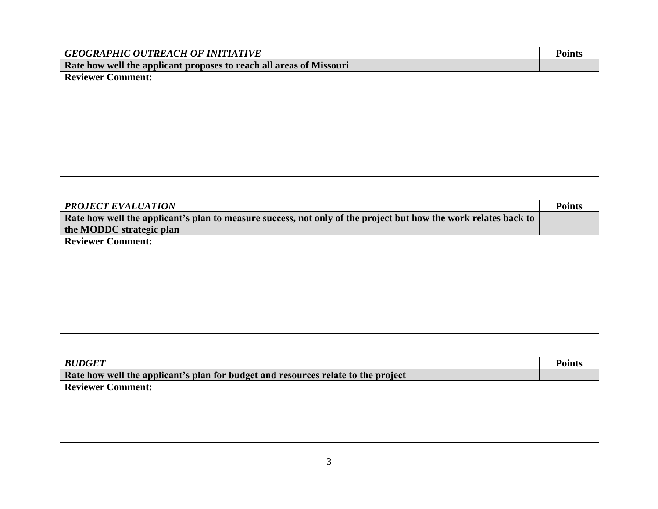| <b>GEOGRAPHIC OUTREACH OF INITIATIVE</b>                            | <b>Points</b> |
|---------------------------------------------------------------------|---------------|
| Rate how well the applicant proposes to reach all areas of Missouri |               |
| <b>Reviewer Comment:</b>                                            |               |
|                                                                     |               |
|                                                                     |               |
|                                                                     |               |
|                                                                     |               |
|                                                                     |               |
|                                                                     |               |
|                                                                     |               |
|                                                                     |               |

| <b>BUDGET</b>                                                                     | <b>Points</b> |
|-----------------------------------------------------------------------------------|---------------|
| Rate how well the applicant's plan for budget and resources relate to the project |               |
| <b>Reviewer Comment:</b>                                                          |               |
|                                                                                   |               |
|                                                                                   |               |
|                                                                                   |               |
|                                                                                   |               |